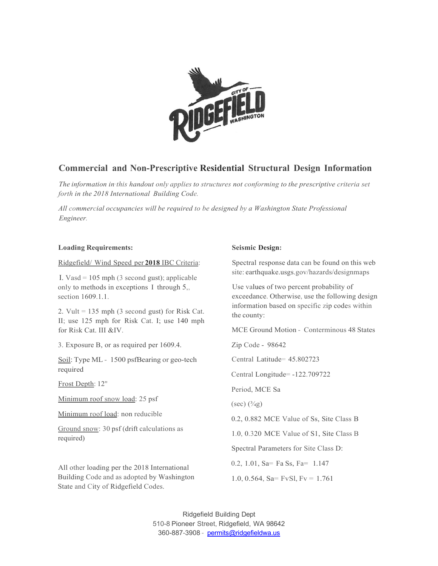

## **Commercial and Non-Prescriptive Residential Structural Design Information**

*The information in·this handout only applies to structures not conforming to the prescriptive criteria set forth in the 2018 International Building Code.*

*All commercial occupancies will be required to be designed by a Washington State Professional Engineer.*

#### **Loading Requirements:**

#### Ridgefield/ Wind Speed per **2018** IBC Criteria:

I. Vasd = 105 mph (3 second gust); applicable only to methods in exceptions I through 5,, section 1609.1.1.

2. Vult  $= 135$  mph (3 second gust) for Risk Cat. II; use 125 mph for Risk Cat. I; use 140 mph for Risk Cat. III &IV.

3. Exposure B, or as required per 1609.4.

Soil: Type ML - 1500 psfBearing or geo-tech required

Frost Depth: 12"

Minimum roof snow load: 25 psf

Minimum roof load: non reducible

Ground snow: 30 psf (drift calculations as required)

All other loading per the 2018 International Building Code and as adopted by Washington State and City of Ridgefield Codes.

### **Seismic Design:**

Spectral response data can be found on this web site: earthquake.usgs.gov/hazards/designmaps

Use values of two percent probability of exceedance. Otherwise, use the following design information based on specific zip codes within the county:

MCE Ground Motion - Conterminous 48 States

Zip Code - 98642

Central Latitude= 45.802723

Central Longitude= -122.709722

Period, MCE Sa

 $(\sec)(\frac{3}{4}g)$ 

0.2, 0.882 MCE Value of Ss, Site Class B

1.0, 0.320 MCE Value of S1, Site Class B

Spectral Parameters for Site Class D:

0.2, 1.01, Sa= Fa Ss, Fa= 1.147

1.0, 0.564, Sa= FvSl, Fv = 1.761

Ridgefield Building Dept 510-8 Pioneer Street, Ridgefield, WA 98642 360-887-3908 - [permits@ridgefieldwa.us](mailto:permits@ridgefieldwa.us)